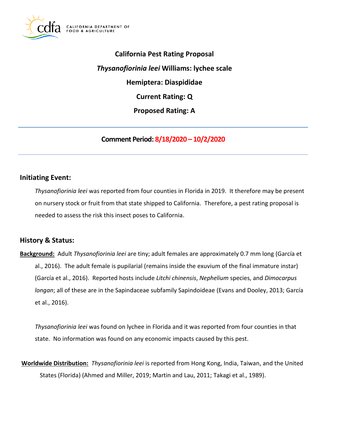

 **California Pest Rating Proposal**  *Thysanofiorinia leei* **Williams: lychee scale Hemiptera: Diaspididae Current Rating: Q Proposed Rating: A** 

**Comment Period: 8/18/2020 – 10/2/2020**

## **Initiating Event:**

 *Thysanofiorinia leei* was reported from four counties in Florida in 2019. It therefore may be present on nursery stock or fruit from that state shipped to California. Therefore, a pest rating proposal is needed to assess the risk this insect poses to California.

## **History & Status:**

 **Background:** Adult *Thysanofiorinia leei* are tiny; adult females are approximately 0.7 mm long (García et al., 2016). The adult female is pupilarial (remains inside the exuvium of the final immature instar) (García et al., 2016). Reported hosts include *Litchi chinensis*, *Nephelium* species, and *Dimocarpus longan*; all of these are in the Sapindaceae subfamily Sapindoideae (Evans and Dooley, 2013; García et al., 2016).

 *Thysanofiorinia leei* was found on lychee in Florida and it was reported from four counties in that state. No information was found on any economic impacts caused by this pest.

 **Worldwide Distribution:** *Thysanofiorinia leei* is reported from Hong Kong, India, Taiwan, and the United States (Florida) (Ahmed and Miller, 2019; Martin and Lau, 2011; Takagi et al., 1989).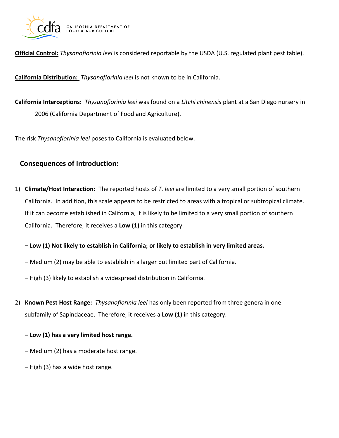

**Official Control:** *Thysanofiorinia leei* is considered reportable by the USDA (U.S. regulated plant pest table).

**California Distribution:** *Thysanofiorinia leei* is not known to be in California.

 **California Interceptions:** *Thysanofiorinia leei* was found on a *Litchi chinensis* plant at a San Diego nursery in 2006 (California Department of Food and Agriculture).

The risk *Thysanofiorinia leei* poses to California is evaluated below.

# **Consequences of Introduction:**

 1) **Climate/Host Interaction:** The reported hosts of *T. leei* are limited to a very small portion of southern California. In addition, this scale appears to be restricted to areas with a tropical or subtropical climate. California. In addition, this scale appears to be restricted to areas with a tropical or subtropical climate.<br>If it can become established in California, it is likely to be limited to a very small portion of southern California. Therefore, it receives a **Low (1)** in this category.

 **– Low (1) Not likely to establish in California; or likely to establish in very limited areas.** 

- Medium (2) may be able to establish in a larger but limited part of California.
- High (3) likely to establish a widespread distribution in California.
- 2) **Known Pest Host Range:** *Thysanofiorinia leei* has only been reported from three genera in one subfamily of Sapindaceae. Therefore, it receives a **Low (1)** in this category.
	- **– Low (1) has a very limited host range.**
	- Medium (2) has a moderate host range.
	- High (3) has a wide host range.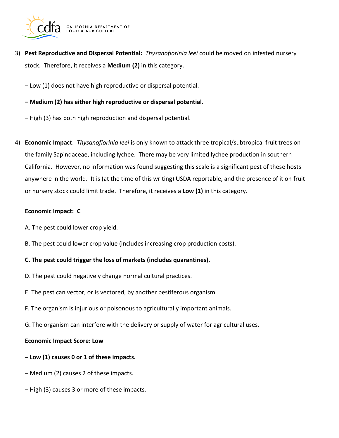

 3) **Pest Reproductive and Dispersal Potential:** *Thysanofiorinia leei* could be moved on infested nursery stock. Therefore, it receives a **Medium (2)** in this category.

– Low (1) does not have high reproductive or dispersal potential.

- **– Medium (2) has either high reproductive or dispersal potential.**
- High (3) has both high reproduction and dispersal potential.
- 4) **Economic Impact**. *Thysanofiorinia leei* is only known to attack three tropical/subtropical fruit trees on the family Sapindaceae, including lychee. There may be very limited lychee production in southern California. However, no information was found suggesting this scale is a significant pest of these hosts anywhere in the world. It is (at the time of this writing) USDA reportable, and the presence of it on fruit or nursery stock could limit trade. Therefore, it receives a **Low (1)** in this category.

#### **Economic Impact: C**

- A. The pest could lower crop yield.
- B. The pest could lower crop value (includes increasing crop production costs).

### **C. The pest could trigger the loss of markets (includes quarantines).**

- D. The pest could negatively change normal cultural practices.
- E. The pest can vector, or is vectored, by another pestiferous organism.
- F. The organism is injurious or poisonous to agriculturally important animals.
- G. The organism can interfere with the delivery or supply of water for agricultural uses.

#### **Economic Impact Score: Low**

- **– Low (1) causes 0 or 1 of these impacts.**
- Medium (2) causes 2 of these impacts.
- High (3) causes 3 or more of these impacts.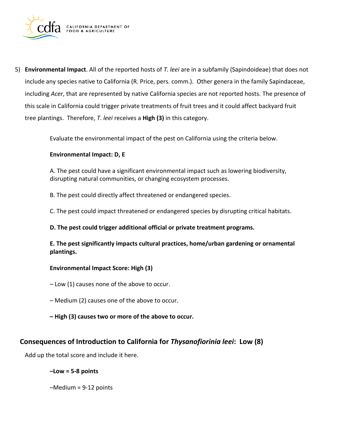

 5) **Environmental Impact**. All of the reported hosts of *T. leei* are in a subfamily (Sapindoideae) that does not including *Acer*, that are represented by native California species are not reported hosts. The presence of this scale in California could trigger private treatments of fruit trees and it could affect backyard fruit tree plantings. Therefore, *T. leei* receives a **High (3)** in this category. include any species native to California (R. Price, pers. comm.). Other genera in the family Sapindaceae,

Evaluate the environmental impact of the pest on California using the criteria below.

#### **Environmental Impact: D, E**

 A. The pest could have a significant environmental impact such as lowering biodiversity, disrupting natural communities, or changing ecosystem processes.

B. The pest could directly affect threatened or endangered species.

C. The pest could impact threatened or endangered species by disrupting critical habitats.

 **D. The pest could trigger additional official or private treatment programs.** 

 **E. The pest significantly impacts cultural practices, home/urban gardening or ornamental plantings.** 

#### **Environmental Impact Score: High (3)**

– Low (1) causes none of the above to occur.

- Medium (2) causes one of the above to occur.
- **– High (3) causes two or more of the above to occur.**

## **Consequences of Introduction to California for** *Thysanofiorinia leei***: Low (8)**

Add up the total score and include it here.

### **–Low = 5-8 points**

–Medium = 9-12 points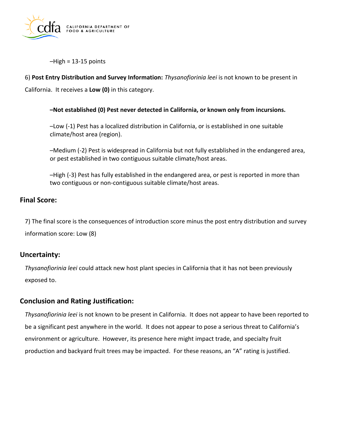

–High = 13-15 points

```
 
6) Post Entry Distribution and Survey Information: Thysanofiorinia leei is not known to be present in 

California. It receives a Low (0) in this category.
```
### **–Not established (0) Pest never detected in California, or known only from incursions.**

 –Low (-1) Pest has a localized distribution in California, or is established in one suitable climate/host area (region).

 –Medium (-2) Pest is widespread in California but not fully established in the endangered area, or pest established in two contiguous suitable climate/host areas.

 –High (-3) Pest has fully established in the endangered area, or pest is reported in more than two contiguous or non-contiguous suitable climate/host areas.

## **Final Score:**

 7) The final score is the consequences of introduction score minus the post entry distribution and survey information score: Low (8)

# **Uncertainty:**

 *Thysanofiorinia leei* could attack new host plant species in California that it has not been previously exposed to.

# **Conclusion and Rating Justification:**

 *Thysanofiorinia leei* is not known to be present in California. It does not appear to have been reported to be a significant pest anywhere in the world. It does not appear to pose a serious threat to California's environment or agriculture. However, its presence here might impact trade, and specialty fruit production and backyard fruit trees may be impacted. For these reasons, an "A" rating is justified.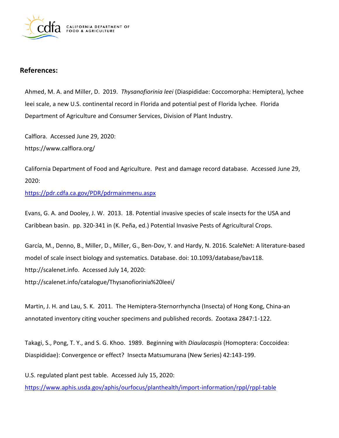

## **References:**

 Ahmed, M. A. and Miller, D. 2019. *Thysanofiorinia leei* (Diaspididae: Coccomorpha: Hemiptera), lychee leei scale, a new U.S. continental record in Florida and potential pest of Florida lychee. Florida Department of Agriculture and Consumer Services, Division of Plant Industry.

 Calflora. Accessed June 29, 2020: [https://www.calflora.org/](https://www.calflora.org)

 California Department of Food and Agriculture. Pest and damage record database. Accessed June 29, 2020:

<https://pdr.cdfa.ca.gov/PDR/pdrmainmenu.aspx>

 Evans, G. A. and Dooley, J. W. 2013. 18. Potential invasive species of scale insects for the USA and Caribbean basin. pp. 320-341 in (K. Peña, ed.) Potential Invasive Pests of Agricultural Crops.

 model of scale insect biology and systematics. Database. doi: 10.1093/database/bav118. [http://scalenet.info.](http://scalenet.info) Accessed July 14, 2020: García, M., Denno, B., Miller, D., Miller, G., Ben-Dov, Y. and Hardy, N. 2016. ScaleNet: A literature-based [http://scalenet.info/catalogue/Thysanofiorinia%20leei/](http://scalenet.info/catalogue/Thysanofiorinia%20leei)

 Martin, J. H. and Lau, S. K. 2011. The Hemiptera-Sternorrhyncha (Insecta) of Hong Kong, China-an annotated inventory citing voucher specimens and published records. Zootaxa 2847:1-122.

 Takagi, S., Pong, T. Y., and S. G. Khoo. 1989. Beginning with *Diaulacaspis* (Homoptera: Coccoidea: Diaspididae): Convergence or effect? Insecta Matsumurana (New Series) 42:143-199.

 U.S. regulated plant pest table. Accessed July 15, 2020: <https://www.aphis.usda.gov/aphis/ourfocus/planthealth/import-information/rppl/rppl-table>